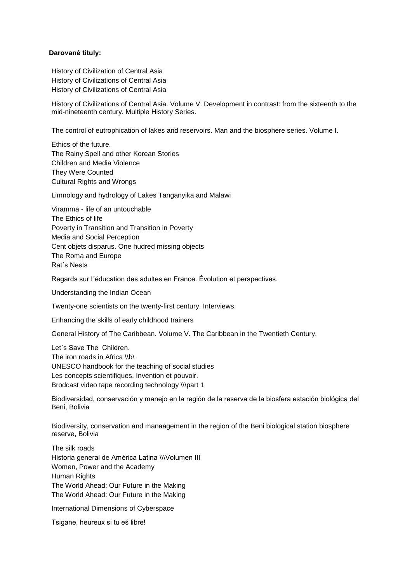## **Darované tituly:**

History of Civilization of Central Asia History of Civilizations of Central Asia History of Civilizations of Central Asia

History of Civilizations of Central Asia. Volume V. Development in contrast: from the sixteenth to the mid-nineteenth century. Multiple History Series.

The control of eutrophication of lakes and reservoirs. Man and the biosphere series. Volume I.

Ethics of the future. The Rainy Spell and other Korean Stories Children and Media Violence They Were Counted Cultural Rights and Wrongs

Limnology and hydrology of Lakes Tanganyika and Malawi

Viramma - life of an untouchable The Ethics of life Poverty in Transition and Transition in Poverty Media and Social Perception Cent objets disparus. One hudred missing objects The Roma and Europe Rat´s Nests

Regards sur l´éducation des adultes en France. Évolution et perspectives.

Understanding the Indian Ocean

Twenty-one scientists on the twenty-first century. Interviews.

Enhancing the skills of early childhood trainers

General History of The Caribbean. Volume V. The Caribbean in the Twentieth Century.

Let´s Save The Children. The iron roads in Africa \\b\ UNESCO handbook for the teaching of social studies Les concepts scientifiques. Invention et pouvoir. Brodcast video tape recording technology \\\part 1

Biodiversidad, conservación y manejo en la región de la reserva de la biosfera estación biológica del Beni, Bolivia

Biodiversity, conservation and manaagement in the region of the Beni biological station biosphere reserve, Bolivia

The silk roads Historia general de América Latina \\\Volumen III Women, Power and the Academy Human Rights The World Ahead: Our Future in the Making The World Ahead: Our Future in the Making

International Dimensions of Cyberspace

Tsigane, heureux si tu eś libre!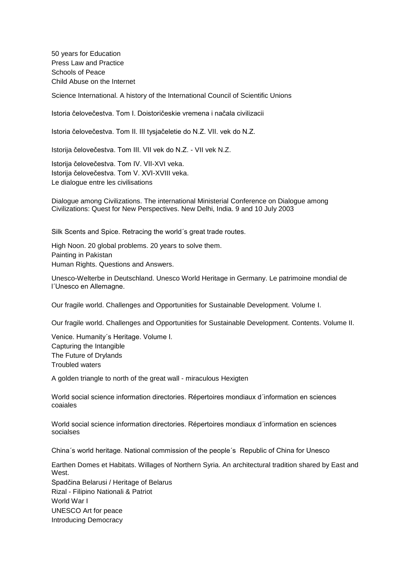50 years for Education Press Law and Practice Schools of Peace Child Abuse on the Internet

Science International. A history of the International Council of Scientific Unions

Istoria čelovečestva. Tom I. Doistoričeskie vremena i načala civilizacii

Istoria čelovečestva. Tom II. III tysjačeletie do N.Z. VII. vek do N.Z.

Istorija čelovečestva. Tom III. VII vek do N.Z. - VII vek N.Z.

Istorija čelovečestva. Tom IV. VII-XVI veka. Istorija čelovečestva. Tom V. XVI-XVIII veka. Le dialogue entre les civilisations

Dialogue among Civilizations. The international Ministerial Conference on Dialogue among Civilizations: Quest for New Perspectives. New Delhi, India. 9 and 10 July 2003

Silk Scents and Spice. Retracing the world´s great trade routes.

High Noon. 20 global problems. 20 years to solve them. Painting in Pakistan Human Rights. Questions and Answers.

Unesco-Welterbe in Deutschland. Unesco World Heritage in Germany. Le patrimoine mondial de l´Unesco en Allemagne.

Our fragile world. Challenges and Opportunities for Sustainable Development. Volume I.

Our fragile world. Challenges and Opportunities for Sustainable Development. Contents. Volume II.

Venice. Humanity´s Heritage. Volume I. Capturing the Intangible The Future of Drylands Troubled waters

A golden triangle to north of the great wall - miraculous Hexigten

World social science information directories. Répertoires mondiaux d´information en sciences coaiales

World social science information directories. Répertoires mondiaux d´information en sciences socialses

China´s world heritage. National commission of the people´s Republic of China for Unesco

Earthen Domes et Habitats. Willages of Northern Syria. An architectural tradition shared by East and West

Spadčina Belarusi / Heritage of Belarus Rizal - Filipino Nationali & Patriot World War I UNESCO Art for peace Introducing Democracy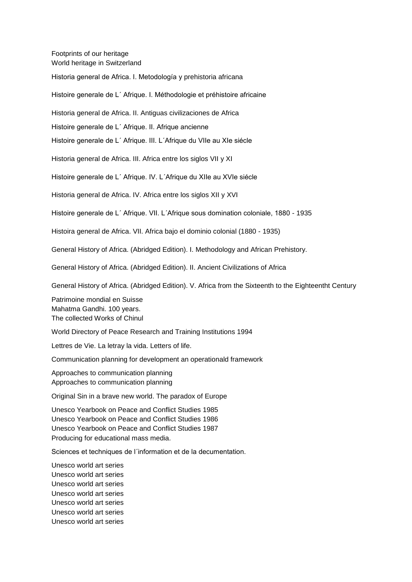Footprints of our heritage World heritage in Switzerland

Historia general de Africa. I. Metodología y prehistoria africana

Histoire generale de L´ Afrique. I. Méthodologie et préhistoire africaine

Historia general de Africa. II. Antiguas civilizaciones de Africa

Histoire generale de L´ Afrique. II. Afrique ancienne

Histoire generale de L´ Afrique. III. L´Afrique du VIIe au XIe siécle

Historia general de Africa. III. Africa entre los siglos VII y XI

Histoire generale de L´ Afrique. IV. L´Afrique du XIIe au XVIe siécle

Historia general de Africa. IV. Africa entre los siglos XII y XVI

Histoire generale de L´ Afrique. VII. L´Afrique sous domination coloniale, 1880 - 1935

Histoira general de Africa. VII. Africa bajo el dominio colonial (1880 - 1935)

General History of Africa. (Abridged Edition). I. Methodology and African Prehistory.

General History of Africa. (Abridged Edition). II. Ancient Civilizations of Africa

General History of Africa. (Abridged Edition). V. Africa from the Sixteenth to the Eighteentht Century

Patrimoine mondial en Suisse Mahatma Gandhi. 100 years. The collected Works of Chinul

World Directory of Peace Research and Training Institutions 1994

Lettres de Vie. La letray la vida. Letters of life.

Communication planning for development an operationald framework

Approaches to communication planning Approaches to communication planning

Original Sin in a brave new world. The paradox of Europe

Unesco Yearbook on Peace and Conflict Studies 1985 Unesco Yearbook on Peace and Conflict Studies 1986 Unesco Yearbook on Peace and Conflict Studies 1987 Producing for educational mass media.

Sciences et techniques de l´information et de la decumentation.

Unesco world art series Unesco world art series Unesco world art series Unesco world art series Unesco world art series Unesco world art series Unesco world art series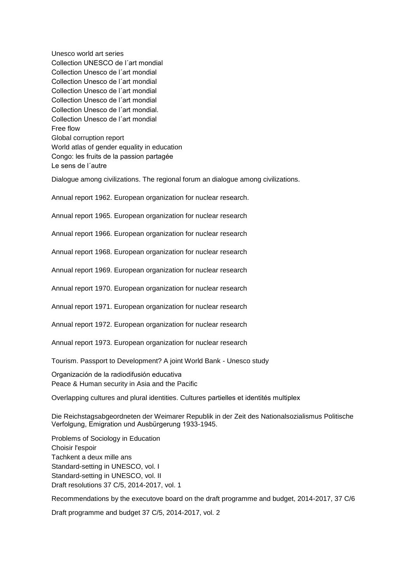Unesco world art series Collection UNESCO de l´art mondial Collection Unesco de l´art mondial Collection Unesco de l´art mondial Collection Unesco de l´art mondial Collection Unesco de l´art mondial Collection Unesco de l´art mondial. Collection Unesco de l´art mondial Free flow Global corruption report World atlas of gender equality in education Congo: les fruits de la passion partagée Le sens de l´autre

Dialogue among civilizations. The regional forum an dialogue among civilizations.

Annual report 1962. European organization for nuclear research.

Annual report 1965. European organization for nuclear research

Annual report 1966. European organization for nuclear research

Annual report 1968. European organization for nuclear research

Annual report 1969. European organization for nuclear research

Annual report 1970. European organization for nuclear research

Annual report 1971. European organization for nuclear research

Annual report 1972. European organization for nuclear research

Annual report 1973. European organization for nuclear research

Tourism. Passport to Development? A joint World Bank - Unesco study

Organización de la radiodifusión educativa Peace & Human security in Asia and the Pacific

Overlapping cultures and plural identities. Cultures partielles et identités multiplex

Die Reichstagsabgeordneten der Weimarer Republik in der Zeit des Nationalsozialismus Politische Verfolgung, Emigration und Ausbürgerung 1933-1945.

Problems of Sociology in Education Choisir l'espoir Tachkent a deux mille ans Standard-setting in UNESCO, vol. I Standard-setting in UNESCO, vol. II Draft resolutions 37 C/5, 2014-2017, vol. 1

Recommendations by the executove board on the draft programme and budget, 2014-2017, 37 C/6

Draft programme and budget 37 C/5, 2014-2017, vol. 2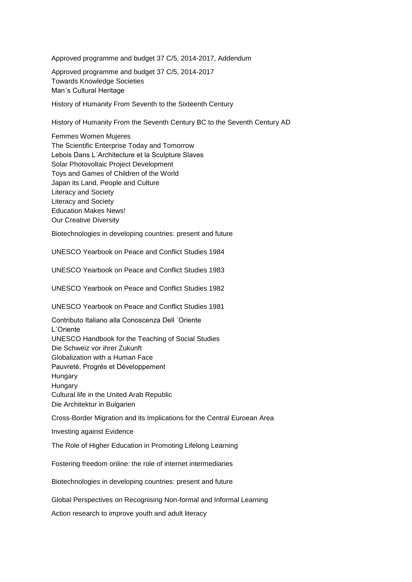Approved programme and budget 37 C/5, 2014-2017, Addendum

Approved programme and budget 37 C/5, 2014-2017 Towards Knowledge Societies Man´s Cultural Heritage

History of Humanity From Seventh to the Sixteenth Century

History of Humanity From the Seventh Century BC to the Seventh Century AD

Femmes Women Mujeres The Scientific Enterprise Today and Tomorrow Lebois Dans L´Architecture et la Sculpture Slaves Solar Photovoltaic Project Development Toys and Games of Children of the World Japan its Land, People and Culture Literacy and Society Literacy and Society Education Makes News! Our Creative Diversity

Biotechnologies in developing countries: present and future

UNESCO Yearbook on Peace and Conflict Studies 1984

UNESCO Yearbook on Peace and Conflict Studies 1983

UNESCO Yearbook on Peace and Conflict Studies 1982

UNESCO Yearbook on Peace and Conflict Studies 1981

Contributo Italiano alla Conoscenza Dell ´Oriente L´Oriente UNESCO Handbook for the Teaching of Social Studies Die Schweiz vor ihrer Zukunft Globalization with a Human Face Pauvreté, Progrés et Développement Hungary Hungary Cultural life in the United Arab Republic Die Architektur in Bulgarien

Cross-Border Migration and its Implications for the Central Euroean Area

Investing against Evidence

The Role of Higher Education in Promoting Lifelong Learning

Fostering freedom online: the role of internet intermediaries

Biotechnologies in developing countries: present and future

Global Perspectives on Recognising Non-formal and Informal Learning

Action research to improve youth and adult literacy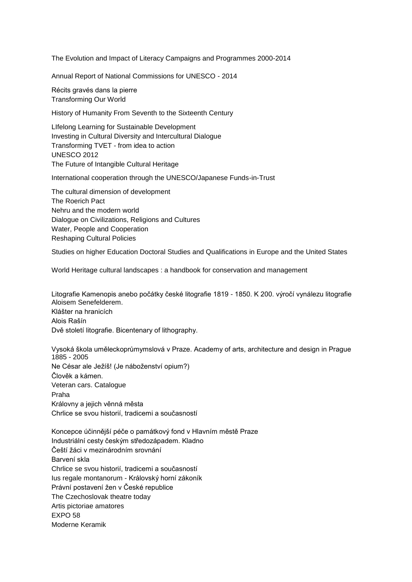The Evolution and Impact of Literacy Campaigns and Programmes 2000-2014

Annual Report of National Commissions for UNESCO - 2014

Récits gravés dans la pierre Transforming Our World

History of Humanity From Seventh to the Sixteenth Century

LIfelong Learning for Sustainable Development Investing in Cultural Diversity and Intercultural Dialogue Transforming TVET - from idea to action UNESCO 2012 The Future of Intangible Cultural Heritage

International cooperation through the UNESCO/Japanese Funds-in-Trust

The cultural dimension of development The Roerich Pact Nehru and the modern world Dialogue on Civilizations, Religions and Cultures Water, People and Cooperation Reshaping Cultural Policies

Studies on higher Education Doctoral Studies and Qualifications in Europe and the United States

World Heritage cultural landscapes : a handbook for conservation and management

Litografie Kamenopis anebo počátky české litografie 1819 - 1850. K 200. výročí vynálezu litografie Aloisem Senefelderem. Klášter na hranicích Alois Rašín Dvě století litografie. Bicentenary of lithography.

Vysoká škola uměleckoprůmymslová v Praze. Academy of arts, architecture and design in Prague 1885 - 2005 Ne César ale Ježíš! (Je náboženství opium?) Člověk a kámen. Veteran cars. Catalogue Praha Královny a jejich věnná města Chrlice se svou historií, tradicemi a současností

Koncepce účinnější péče o památkový fond v Hlavním městě Praze Industriální cesty českým středozápadem. Kladno Čeští žáci v mezinárodním srovnání Barvení skla Chrlice se svou historií, tradicemi a současností Ius regale montanorum - Královský horní zákoník Právní postavení žen v České republice The Czechoslovak theatre today Artis pictoriae amatores EXPO 58 Moderne Keramik